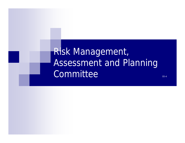Risk Management, Assessment and Planning Committee and the communities of  $\mathbb{I}_{\mathbb{I}^{4}}$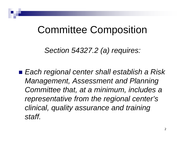## Committee Composition

*Section 54327.2 (a) requires:*

■ *Each regional center shall establish a Risk Management, Assessment and Planning Committee that, at a minimum, includes a representative from the regional center's clinical, quality assurance and training staff.*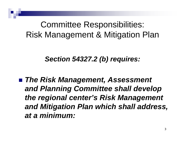### Committee Responsibilities: Risk Management & Mitigation Plan

#### *Section 54327.2 (b) requires:*

■ The Risk Management, Assessment *and Planning Committee shall develop the regional center's Risk Management and Mitigation Plan which shall address, at a minimum:*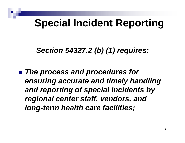# **Special Incident Reporting**

### *Section 54327.2 (b) (1) requires:*

■ *The process and procedures for ensuring accurate and timely handling and reporting of special incidents by regional center staff, vendors, and long-term health care facilities;*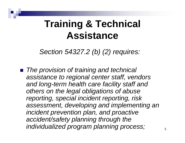## **Training & Technical Assistance**

*Section 54327.2 (b) (2) requires:*

■ *The provision of training and technical assistance to regional center staff, vendors and long-term health care facility staff and others on the legal obligations of abuse reporting, special incident reporting, risk assessment, developing and implementing an incident prevention plan, and proactive accident/safety planning through the individualized program planning process;*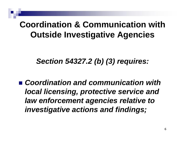### **Coordination & Communication with Outside Investigative Agencies**

*Section 54327.2 (b) (3) requires:*

■ *Coordination and communication with local licensing, protective service and law enforcement agencies relative to investigative actions and findings;*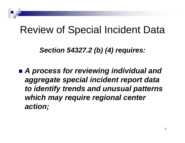# Review of Special Incident Data

*Section 54327.2 (b) (4) requires:*

■ *A process for reviewing individual and aggregate special incident report data to identify trends and unusual patterns which may require regional center action;*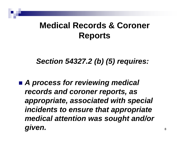### **Medical Records & Coroner Reports**

*Section 54327.2 (b) (5) requires:*

■ *A process for reviewing medical records and coroner reports, as appropriate, associated with special incidents to ensure that appropriate medical attention was sought and/or given.*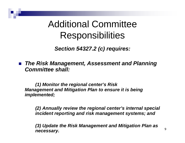## Additional Committee Responsibilities

*Section 54327.2 (c) requires:*

**The Risk Management, Assessment and Planning** *Committee shall:*

*(1) Monitor the regional center's Risk Management and Mitigation Plan to ensure it is being implemented;*

*(2) Annually review the regional center's internal special incident reporting and risk management systems; and*

*(3) Update the Risk Management and Mitigation Plan as necessary.*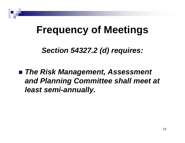# **Frequency of Meetings**

*Section 54327.2 (d) requires:*

■ The Risk Management, Assessment *and Planning Committee shall meet at least semi-annually.*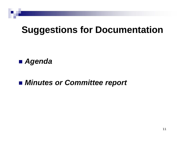# **Suggestions for Documentation**

#### ■ *Agenda*

#### ■ *Minutes or Committee report*